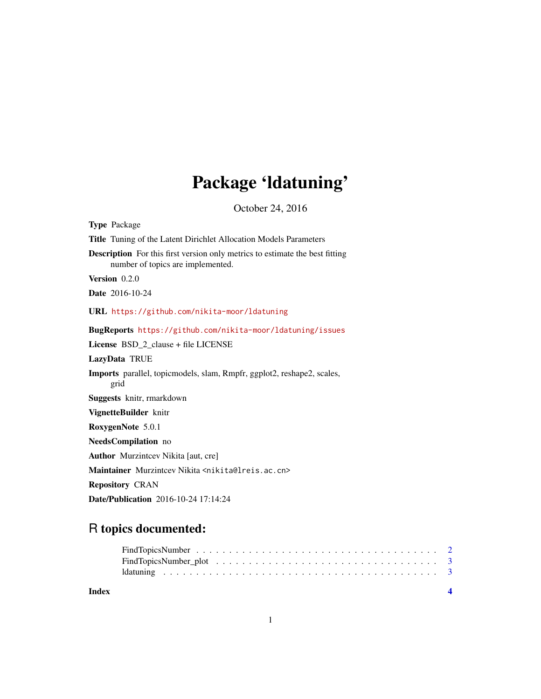# Package 'ldatuning'

October 24, 2016

<span id="page-0-0"></span>

| <b>Type Package</b>                                                                                                      |
|--------------------------------------------------------------------------------------------------------------------------|
| <b>Title</b> Tuning of the Latent Dirichlet Allocation Models Parameters                                                 |
| <b>Description</b> For this first version only metrics to estimate the best fitting<br>number of topics are implemented. |
| Version 0.2.0                                                                                                            |
| <b>Date</b> 2016-10-24                                                                                                   |
| URL https://github.com/nikita-moor/ldatuning                                                                             |
| BugReports https://github.com/nikita-moor/ldatuning/issues                                                               |
| License BSD_2_clause + file LICENSE                                                                                      |
| LazyData TRUE                                                                                                            |
| Imports parallel, topicmodels, slam, Rmpfr, ggplot2, reshape2, scales,<br>grid                                           |
| Suggests knitr, rmarkdown                                                                                                |
| VignetteBuilder knitr                                                                                                    |
| RoxygenNote 5.0.1                                                                                                        |
| NeedsCompilation no                                                                                                      |
| <b>Author</b> Murzintcey Nikita [aut. cre]                                                                               |
| Maintainer Murzintcev Nikita <nikita@lreis.ac.cn></nikita@lreis.ac.cn>                                                   |
| <b>Repository CRAN</b>                                                                                                   |
| <b>Date/Publication</b> 2016-10-24 17:14:24                                                                              |

# R topics documented:

| Index |  |
|-------|--|
|       |  |
|       |  |
|       |  |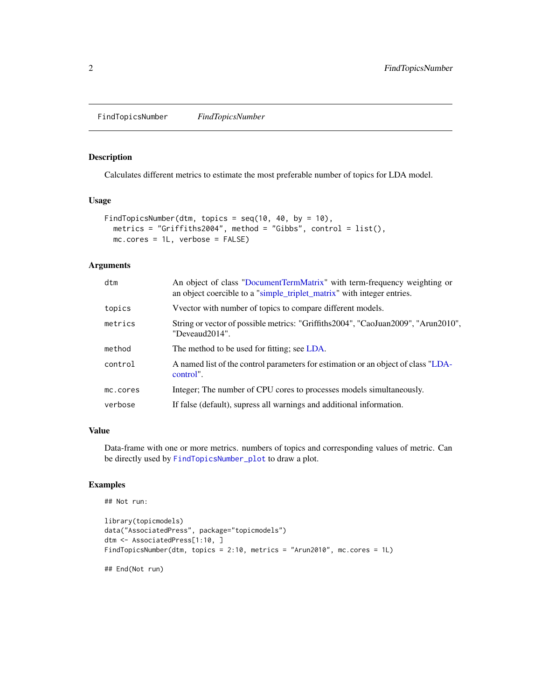<span id="page-1-1"></span><span id="page-1-0"></span>FindTopicsNumber *FindTopicsNumber*

### Description

Calculates different metrics to estimate the most preferable number of topics for LDA model.

#### Usage

```
FindTopicsNumber(dtm, topics = seq(10, 40, by = 10),
 metrics = "Griffiths2004", method = "Gibbs", control = list(),
 mc.cores = 1L, verbose = FALSE)
```
### Arguments

| dtm      | An object of class "DocumentTermMatrix" with term-frequency weighting or<br>an object coercible to a "simple_triplet_matrix" with integer entries. |
|----------|----------------------------------------------------------------------------------------------------------------------------------------------------|
| topics   | V vector with number of topics to compare different models.                                                                                        |
| metrics  | String or vector of possible metrics: "Griffiths2004", "CaoJuan2009", "Arun2010",<br>"Deveaud2014".                                                |
| method   | The method to be used for fitting; see LDA.                                                                                                        |
| control  | A named list of the control parameters for estimation or an object of class "LDA-<br>control".                                                     |
| mc.cores | Integer; The number of CPU cores to processes models simultaneously.                                                                               |
| verbose  | If false (default), supress all warnings and additional information.                                                                               |

#### Value

Data-frame with one or more metrics. numbers of topics and corresponding values of metric. Can be directly used by [FindTopicsNumber\\_plot](#page-2-1) to draw a plot.

# Examples

```
## Not run:
```

```
library(topicmodels)
data("AssociatedPress", package="topicmodels")
dtm <- AssociatedPress[1:10, ]
FindTopicsNumber(dtm, topics = 2:10, metrics = "Arun2010", mc.cores = 1L)
```
## End(Not run)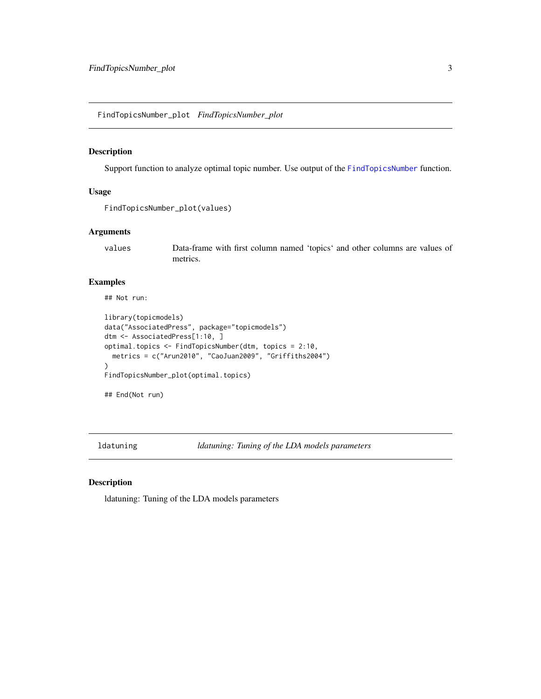<span id="page-2-1"></span><span id="page-2-0"></span>FindTopicsNumber\_plot *FindTopicsNumber\_plot*

## Description

Support function to analyze optimal topic number. Use output of the [FindTopicsNumber](#page-1-1) function.

#### Usage

```
FindTopicsNumber_plot(values)
```
# Arguments

values Data-frame with first column named 'topics' and other columns are values of metrics.

# Examples

## Not run:

```
library(topicmodels)
data("AssociatedPress", package="topicmodels")
dtm <- AssociatedPress[1:10, ]
optimal.topics <- FindTopicsNumber(dtm, topics = 2:10,
  metrics = c("Arun2010", "CaoJuan2009", "Griffiths2004")
\lambdaFindTopicsNumber_plot(optimal.topics)
## End(Not run)
```
ldatuning *ldatuning: Tuning of the LDA models parameters*

#### Description

ldatuning: Tuning of the LDA models parameters